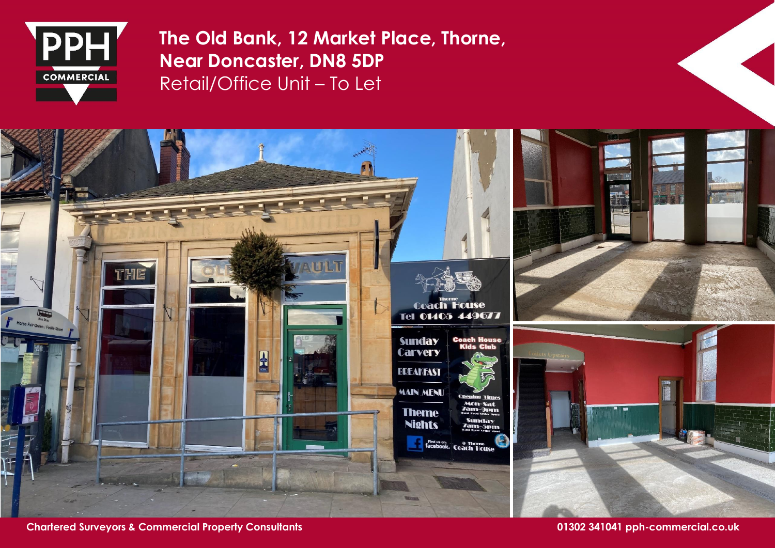

**The Old Bank, 12 Market Place, Thorne, Near Doncaster, DN8 5DP** Retail/Office Unit – To Let



**Chartered Surveyors & Commercial Property Consultants 01302 341041 pph-commercial.co.uk**